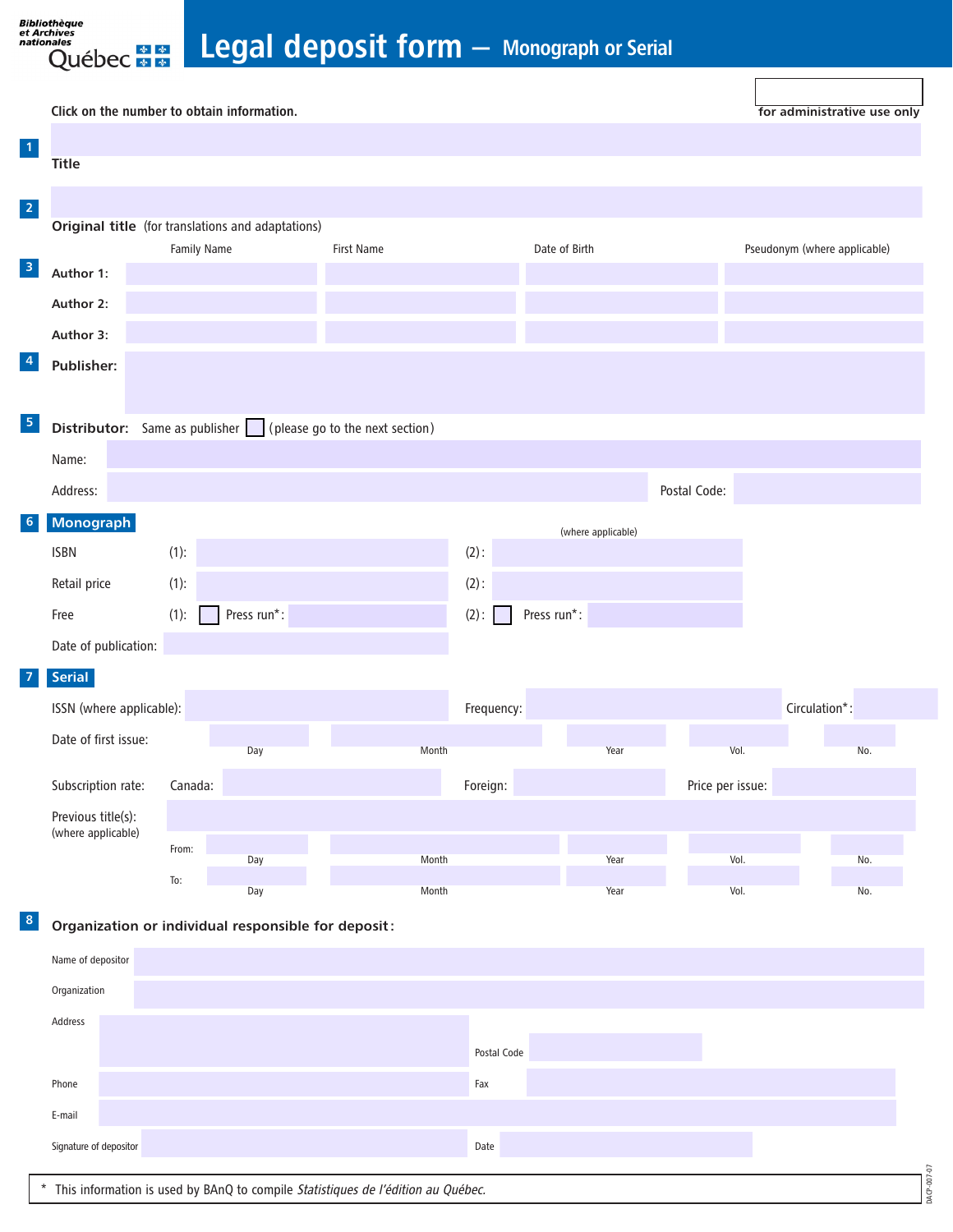Legal deposit form - Monograph or Serial

|                                                                                   |                                                   | Click on the number to obtain information. |             |            |         |               |                    |               |                  | for administrative use only  |  |  |
|-----------------------------------------------------------------------------------|---------------------------------------------------|--------------------------------------------|-------------|------------|---------|---------------|--------------------|---------------|------------------|------------------------------|--|--|
| 1                                                                                 |                                                   |                                            |             |            |         |               |                    |               |                  |                              |  |  |
|                                                                                   | <b>Title</b>                                      |                                            |             |            |         |               |                    |               |                  |                              |  |  |
| $\overline{2}$                                                                    |                                                   |                                            |             |            |         |               |                    |               |                  |                              |  |  |
|                                                                                   | Original title (for translations and adaptations) |                                            |             |            |         |               |                    |               |                  |                              |  |  |
| 3                                                                                 | Author 1:                                         | Family Name                                |             | First Name |         | Date of Birth |                    |               |                  | Pseudonym (where applicable) |  |  |
|                                                                                   |                                                   |                                            |             |            |         |               |                    |               |                  |                              |  |  |
|                                                                                   | Author 2:                                         |                                            |             |            |         |               |                    |               |                  |                              |  |  |
| 4                                                                                 | Author 3:                                         |                                            |             |            |         |               |                    |               |                  |                              |  |  |
|                                                                                   | Publisher:                                        |                                            |             |            |         |               |                    |               |                  |                              |  |  |
|                                                                                   |                                                   |                                            |             |            |         |               |                    |               |                  |                              |  |  |
| 5<br><b>Distributor:</b> Same as publisher $\Box$ (please go to the next section) |                                                   |                                            |             |            |         |               |                    |               |                  |                              |  |  |
|                                                                                   | Name:                                             |                                            |             |            |         |               |                    |               |                  |                              |  |  |
|                                                                                   | Address:                                          |                                            |             |            |         |               |                    | Postal Code:  |                  |                              |  |  |
| 6                                                                                 | Monograph                                         |                                            |             |            |         |               | (where applicable) |               |                  |                              |  |  |
|                                                                                   | <b>ISBN</b>                                       | (1):                                       |             |            | $(2)$ : |               |                    |               |                  |                              |  |  |
|                                                                                   | Retail price                                      | (1):                                       |             |            | $(2)$ : |               |                    |               |                  |                              |  |  |
|                                                                                   | Free                                              | (1):                                       | Press run*: |            | $(2)$ : | Press run*:   |                    |               |                  |                              |  |  |
|                                                                                   | Date of publication:                              |                                            |             |            |         |               |                    |               |                  |                              |  |  |
|                                                                                   | <b>Serial</b>                                     |                                            |             |            |         |               |                    |               |                  |                              |  |  |
|                                                                                   |                                                   | ISSN (where applicable):                   |             | Frequency: |         |               |                    | Circulation*: |                  |                              |  |  |
|                                                                                   | Date of first issue:                              |                                            |             |            |         |               |                    |               |                  |                              |  |  |
|                                                                                   |                                                   |                                            | Day         | Month      |         |               | Year               |               | Vol.             | No.                          |  |  |
| Subscription rate:                                                                |                                                   | Canada:                                    |             | Foreign:   |         |               |                    |               | Price per issue: |                              |  |  |
|                                                                                   | Previous title(s):<br>(where applicable)          |                                            |             |            |         |               |                    |               |                  |                              |  |  |
|                                                                                   |                                                   | From:                                      | Day         | Month      |         |               | Year               |               | Vol.             | No.                          |  |  |
|                                                                                   |                                                   | To:                                        | Day         | Month      |         |               | Year               |               | Vol.             | No.                          |  |  |
|                                                                                   |                                                   |                                            |             |            |         |               |                    |               |                  |                              |  |  |

 $8$  Organization or individual responsible for deposit:

[1](#page-1-0)

<span id="page-0-0"></span>Bibliothèque<br>et Archives<br>nationales

nales<br>Québec \* \*

7

[6](#page-1-1)

| Name of depositor                                                                           |                      |  |  |  |  |  |  |  |
|---------------------------------------------------------------------------------------------|----------------------|--|--|--|--|--|--|--|
| Organization                                                                                |                      |  |  |  |  |  |  |  |
| Address                                                                                     |                      |  |  |  |  |  |  |  |
|                                                                                             | Postal Code          |  |  |  |  |  |  |  |
| Phone                                                                                       | Fax                  |  |  |  |  |  |  |  |
| E-mail                                                                                      |                      |  |  |  |  |  |  |  |
| Signature of depositor                                                                      | Date<br><sup>2</sup> |  |  |  |  |  |  |  |
| ACP-007<br>This information is used by BAnQ to compile Statistiques de l'édition au Québec. |                      |  |  |  |  |  |  |  |